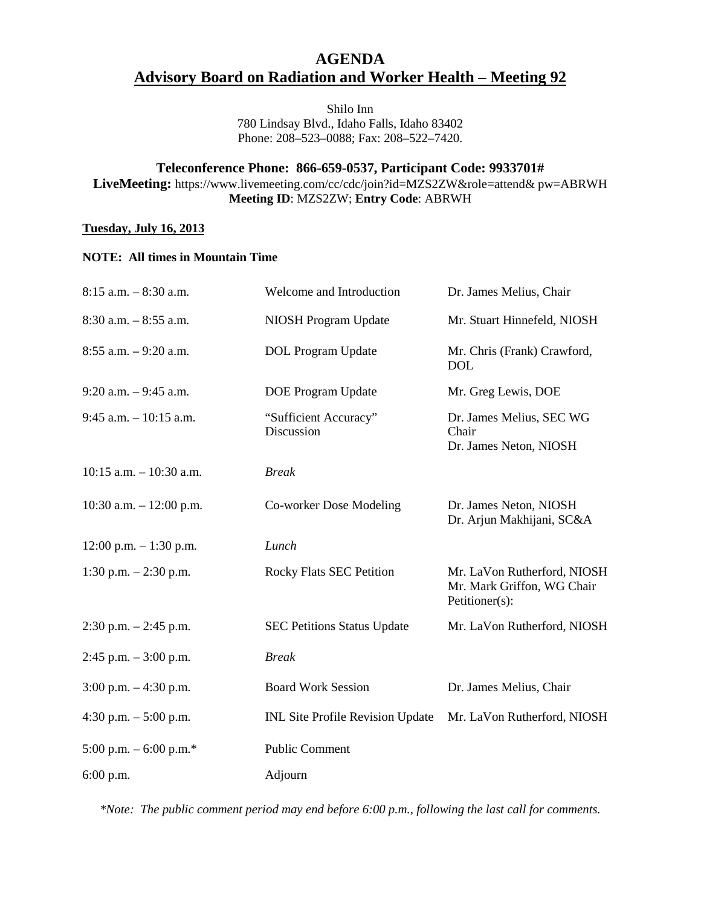## **AGENDA Advisory Board on Radiation and Worker Health – Meeting 92**

Shilo Inn 780 Lindsay Blvd., Idaho Falls, Idaho 83402 Phone: 208–523–0088; Fax: 208–522–7420.

### **Teleconference Phone: 866-659-0537, Participant Code: 9933701#**

**LiveMeeting:** https://www.livemeeting.com/cc/cdc/join?id=MZS2ZW&role=attend& pw=ABRWH **Meeting ID**: MZS2ZW; **Entry Code**: ABRWH

#### **Tuesday, July 16, 2013**

#### **NOTE: All times in Mountain Time**

| $8:15$ a.m. $-8:30$ a.m.   | Welcome and Introduction                | Dr. James Melius, Chair                                                     |
|----------------------------|-----------------------------------------|-----------------------------------------------------------------------------|
| $8:30$ a.m. $-8:55$ a.m.   | NIOSH Program Update                    | Mr. Stuart Hinnefeld, NIOSH                                                 |
| $8:55$ a.m. $-9:20$ a.m.   | <b>DOL</b> Program Update               | Mr. Chris (Frank) Crawford,<br><b>DOL</b>                                   |
| $9:20$ a.m. $-9:45$ a.m.   | <b>DOE</b> Program Update               | Mr. Greg Lewis, DOE                                                         |
| $9:45$ a.m. $-10:15$ a.m.  | "Sufficient Accuracy"<br>Discussion     | Dr. James Melius, SEC WG<br>Chair<br>Dr. James Neton, NIOSH                 |
| $10:15$ a.m. $-10:30$ a.m. | <b>Break</b>                            |                                                                             |
| 10:30 a.m. $- 12:00$ p.m.  | Co-worker Dose Modeling                 | Dr. James Neton, NIOSH<br>Dr. Arjun Makhijani, SC&A                         |
| $12:00$ p.m. $-1:30$ p.m.  | Lunch                                   |                                                                             |
| 1:30 p.m. $-2:30$ p.m.     | <b>Rocky Flats SEC Petition</b>         | Mr. LaVon Rutherford, NIOSH<br>Mr. Mark Griffon, WG Chair<br>Petitioner(s): |
| $2:30$ p.m. $-2:45$ p.m.   | <b>SEC Petitions Status Update</b>      | Mr. LaVon Rutherford, NIOSH                                                 |
| $2:45$ p.m. $-3:00$ p.m.   | <b>Break</b>                            |                                                                             |
| $3:00$ p.m. $-4:30$ p.m.   | <b>Board Work Session</b>               | Dr. James Melius, Chair                                                     |
| 4:30 p.m. $-5:00$ p.m.     | <b>INL Site Profile Revision Update</b> | Mr. LaVon Rutherford, NIOSH                                                 |
| 5:00 p.m. $-$ 6:00 p.m.*   | <b>Public Comment</b>                   |                                                                             |
| 6:00 p.m.                  | Adjourn                                 |                                                                             |

*\*Note: The public comment period may end before 6:00 p.m., following the last call for comments.*